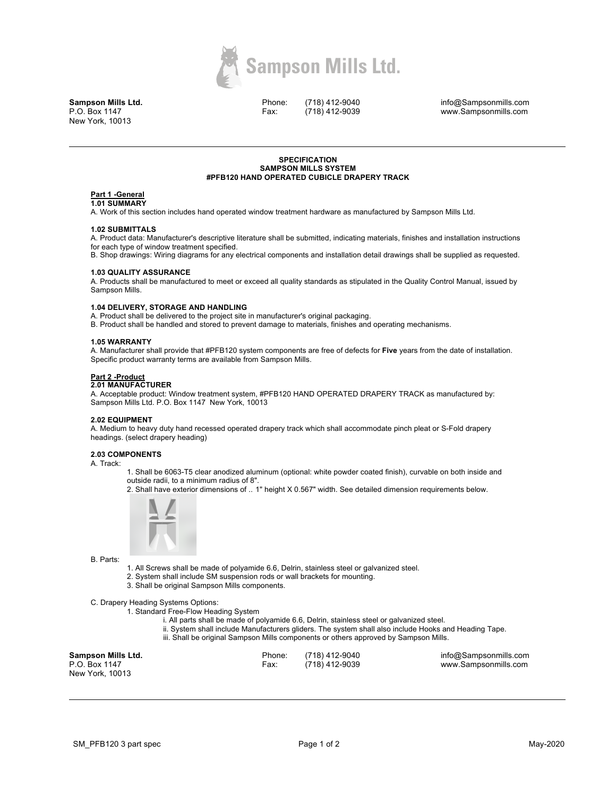

**Sampson Mills Ltd.** P.O. Box 1147 New York, 10013

Phone: Fax:

(718) 412-9040 (718) 412-9039 info@Sampsonmills.com www.Sampsonmills.com

## **SPECIFICATION SAMPSON MILLS SYSTEM #PFB120 HAND OPERATED CUBICLE DRAPERY TRACK**

# **Part 1 -General**

**1.01 SUMMARY** 

A. Work of this section includes hand operated window treatment hardware as manufactured by Sampson Mills Ltd.

#### **1.02 SUBMITTALS**

A. Product data: Manufacturer's descriptive literature shall be submitted, indicating materials, finishes and installation instructions for each type of window treatment specified.

B. Shop drawings: Wiring diagrams for any electrical components and installation detail drawings shall be supplied as requested.

## **1.03 QUALITY ASSURANCE**

A. Products shall be manufactured to meet or exceed all quality standards as stipulated in the Quality Control Manual, issued by Sampson Mills.

## **1.04 DELIVERY, STORAGE AND HANDLING**

A. Product shall be delivered to the project site in manufacturer's original packaging.

B. Product shall be handled and stored to prevent damage to materials, finishes and operating mechanisms.

## **1.05 WARRANTY**

A. Manufacturer shall provide that #PFB120 system components are free of defects for **Five** years from the date of installation. Specific product warranty terms are available from Sampson Mills.

# **Part 2 -Product**

# **2.01 MANUFACTURER**

A. Acceptable product: Window treatment system, #PFB120 HAND OPERATED DRAPERY TRACK as manufactured by: Sampson Mills Ltd. P.O. Box 1147 New York, 10013

## **2.02 EQUIPMENT**

A. Medium to heavy duty hand recessed operated drapery track which shall accommodate pinch pleat or S-Fold drapery headings. (select drapery heading)

# **2.03 COMPONENTS**

A. Track:

1. Shall be 6063-T5 clear anodized aluminum (optional: white powder coated finish), curvable on both inside and outside radii, to a minimum radius of 8".

2. Shall have exterior dimensions of .. 1" height X 0.567" width. See detailed dimension requirements below.



B. Parts:

- 1. All Screws shall be made of polyamide 6.6, Delrin, stainless steel or galvanized steel.
- 2. System shall include SM suspension rods or wall brackets for mounting.
- 3. Shall be original Sampson Mills components.

C. Drapery Heading Systems Options:

1. Standard Free-Flow Heading System

- i. All parts shall be made of polyamide 6.6, Delrin, stainless steel or galvanized steel.
- ii. System shall include Manufacturers gliders. The system shall also include Hooks and Heading Tape.
- iii. Shall be original Sampson Mills components or others approved by Sampson Mills.

| Sampson Mills Ltd. | Phone: | (718) 412-9040 | info@Sampsonmills.com |
|--------------------|--------|----------------|-----------------------|
| P.O. Box 1147      | Fax:   | (718) 412-9039 | www.Sampsonmills.com  |
| New York, 10013    |        |                |                       |